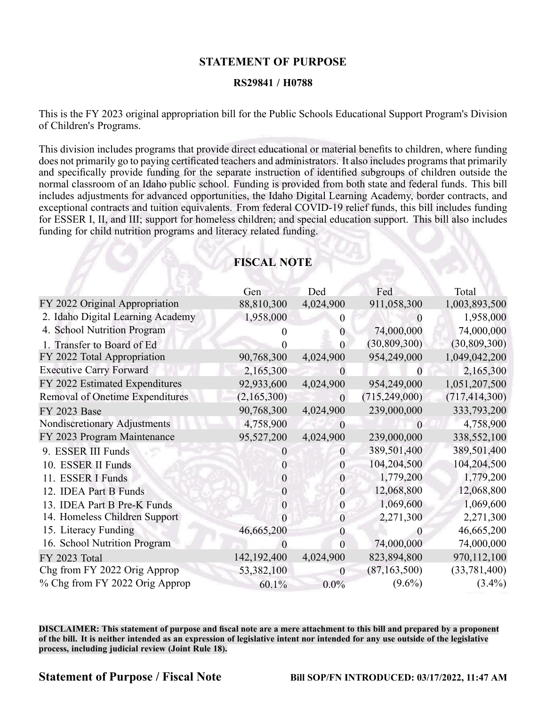## **STATEMENT OF PURPOSE**

### **RS29841 / H0788**

This is the FY 2023 original appropriation bill for the Public Schools Educational Support Program's Division of Children's Programs.

This division includes programs that provide direct educational or material benefits to children, where funding does not primarily go to paying certificated teachers and administrators. It also includes programs that primarily and specifically provide funding for the separate instruction of identified subgroups of children outside the normal classroom of an Idaho public school. Funding is provided from both state and federal funds. This bill includes adjustments for advanced opportunities, the Idaho Digital Learning Academy, border contracts, and exceptional contracts and tuition equivalents. From federal COVID-19 relief funds, this bill includes funding for ESSER I, II, and III; suppor<sup>t</sup> for homeless children; and special education support. This bill also includes funding for child nutrition programs and literacy related funding.

|                                        | Gen           | Ded              | Fed             | Total           |
|----------------------------------------|---------------|------------------|-----------------|-----------------|
| FY 2022 Original Appropriation         | 88,810,300    | 4,024,900        | 911,058,300     | 1,003,893,500   |
| 2. Idaho Digital Learning Academy      | 1,958,000     | $\overline{0}$   |                 | 1,958,000       |
| 4. School Nutrition Program            |               | $\theta$         | 74,000,000      | 74,000,000      |
| 1. Transfer to Board of Ed             |               | 0                | (30, 809, 300)  | (30, 809, 300)  |
| FY 2022 Total Appropriation            | 90,768,300    | 4,024,900        | 954,249,000     | 1,049,042,200   |
| <b>Executive Carry Forward</b>         | 2,165,300     | $\theta$         | $\theta$        | 2,165,300       |
| FY 2022 Estimated Expenditures         | 92,933,600    | 4,024,900        | 954,249,000     | 1,051,207,500   |
| <b>Removal of Onetime Expenditures</b> | (2,165,300)   | $\overline{0}$   | (715, 249, 000) | (717, 414, 300) |
| FY 2023 Base                           | 90,768,300    | 4,024,900        | 239,000,000     | 333,793,200     |
| Nondiscretionary Adjustments           | 4,758,900     | $\theta$         | $\theta$        | 4,758,900       |
| FY 2023 Program Maintenance            | 95,527,200    | 4,024,900        | 239,000,000     | 338,552,100     |
| 9. ESSER III Funds                     |               | $\overline{0}$   | 389,501,400     | 389,501,400     |
| 10. ESSER II Funds                     | 0             | $\boldsymbol{0}$ | 104,204,500     | 104,204,500     |
| 11. ESSER I Funds                      | $\theta$      | $\mathbf{0}$     | 1,779,200       | 1,779,200       |
| 12. IDEA Part B Funds                  | $\mathbf{0}$  | $\mathbf{0}$     | 12,068,800      | 12,068,800      |
| 13. IDEA Part B Pre-K Funds            | $\theta$      | $\overline{0}$   | 1,069,600       | 1,069,600       |
| 14. Homeless Children Support          |               | $\overline{0}$   | 2,271,300       | 2,271,300       |
| 15. Literacy Funding                   | 46,665,200    | 0                | $\theta$        | 46,665,200      |
| 16. School Nutrition Program           |               | $\overline{0}$   | 74,000,000      | 74,000,000      |
| FY 2023 Total                          | 142, 192, 400 | 4,024,900        | 823,894,800     | 970,112,100     |
| Chg from FY 2022 Orig Approp           | 53,382,100    | $\overline{0}$   | (87, 163, 500)  | (33, 781, 400)  |
| % Chg from FY 2022 Orig Approp         | 60.1%         | $0.0\%$          | $(9.6\%)$       | $(3.4\%)$       |

# **FISCAL NOTE**

DISCLAIMER: This statement of purpose and fiscal note are a mere attachment to this bill and prepared by a proponent of the bill. It is neither intended as an expression of legislative intent nor intended for any use outside of the legislative **process, including judicial review (Joint Rule 18).**